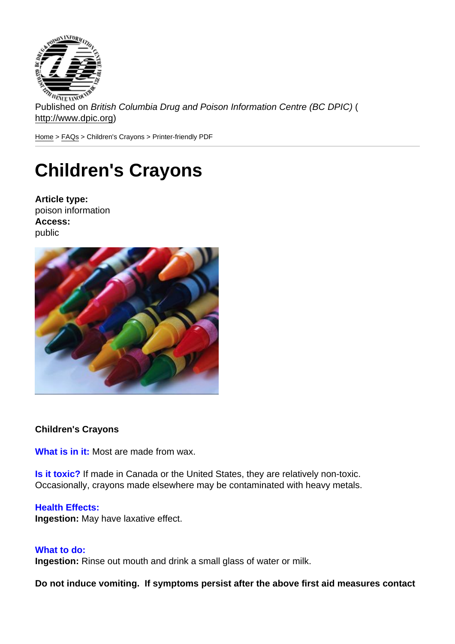Published on British Columbia Drug and Poison Information Centre (BC DPIC) ( http://www.dpic.org)

Home > FAQs > Children's Crayons > Printer-friendly PDF

## [Ch](http://www.dpic.org/)[ildr](http://www.dpic.org/faq)en's Crayons

Article type: poison information Access: public

Children's Crayons

What is in it: Most are made from wax.

Is it toxic? If made in Canada or the United States, they are relatively non-toxic. Occasionally, crayons made elsewhere may be contaminated with heavy metals.

## Health Effects:

Ingestion: May have laxative effect.

## What to do:

Ingestion: Rinse out mouth and drink a small glass of water or milk.

Do not induce vomiting. If symptoms persist after the above first aid measures contact